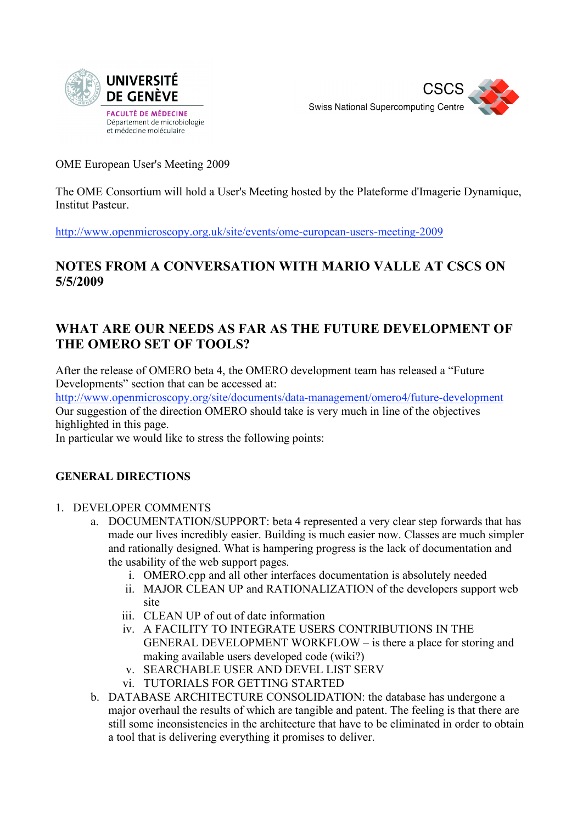



OME European User's Meeting 2009

The OME Consortium will hold a User's Meeting hosted by the Plateforme d'Imagerie Dynamique, Institut Pasteur.

http://www.openmicroscopy.org.uk/site/events/ome-european-users-meeting-2009

## **NOTES FROM A CONVERSATION WITH MARIO VALLE AT CSCS ON 5/5/2009**

## **WHAT ARE OUR NEEDS AS FAR AS THE FUTURE DEVELOPMENT OF THE OMERO SET OF TOOLS?**

After the release of OMERO beta 4, the OMERO development team has released a "Future Developments" section that can be accessed at:

http://www.openmicroscopy.org/site/documents/data-management/omero4/future-development Our suggestion of the direction OMERO should take is very much in line of the objectives highlighted in this page.

In particular we would like to stress the following points:

## **GENERAL DIRECTIONS**

- 1. DEVELOPER COMMENTS
	- a. DOCUMENTATION/SUPPORT: beta 4 represented a very clear step forwards that has made our lives incredibly easier. Building is much easier now. Classes are much simpler and rationally designed. What is hampering progress is the lack of documentation and the usability of the web support pages.
		- i. OMERO.cpp and all other interfaces documentation is absolutely needed
		- ii. MAJOR CLEAN UP and RATIONALIZATION of the developers support web site
		- iii. CLEAN UP of out of date information
		- iv. A FACILITY TO INTEGRATE USERS CONTRIBUTIONS IN THE GENERAL DEVELOPMENT WORKFLOW – is there a place for storing and making available users developed code (wiki?)
		- v. SEARCHABLE USER AND DEVEL LIST SERV
		- vi. TUTORIALS FOR GETTING STARTED
	- b. DATABASE ARCHITECTURE CONSOLIDATION: the database has undergone a major overhaul the results of which are tangible and patent. The feeling is that there are still some inconsistencies in the architecture that have to be eliminated in order to obtain a tool that is delivering everything it promises to deliver.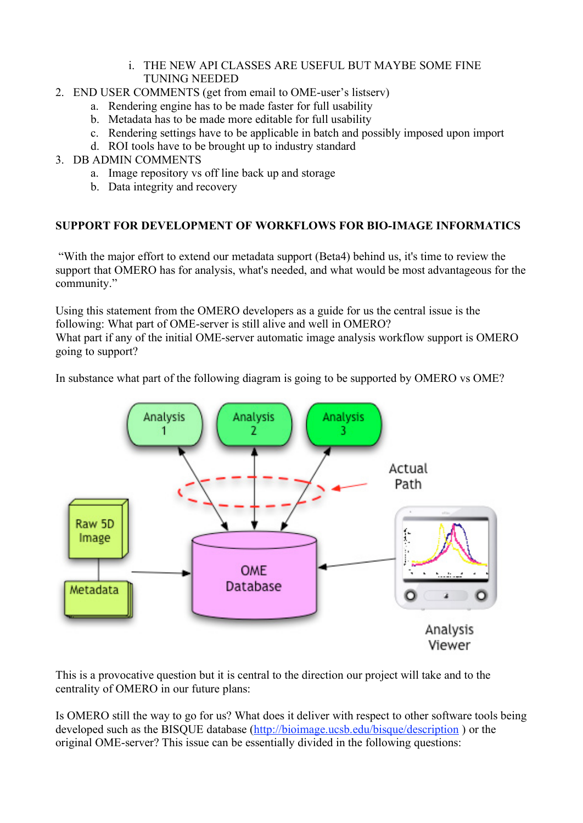- i. THE NEW API CLASSES ARE USEFUL BUT MAYBE SOME FINE TUNING NEEDED
- 2. END USER COMMENTS (get from email to OME-user's listserv)
	- a. Rendering engine has to be made faster for full usability
	- b. Metadata has to be made more editable for full usability
	- c. Rendering settings have to be applicable in batch and possibly imposed upon import
	- d. ROI tools have to be brought up to industry standard
- 3. DB ADMIN COMMENTS
	- a. Image repository vs off line back up and storage
	- b. Data integrity and recovery

## **SUPPORT FOR DEVELOPMENT OF WORKFLOWS FOR BIO-IMAGE INFORMATICS**

"With the major effort to extend our metadata support (Beta4) behind us, it's time to review the support that OMERO has for analysis, what's needed, and what would be most advantageous for the community."

Using this statement from the OMERO developers as a guide for us the central issue is the following: What part of OME-server is still alive and well in OMERO? What part if any of the initial OME-server automatic image analysis workflow support is OMERO going to support?

In substance what part of the following diagram is going to be supported by OMERO vs OME?



This is a provocative question but it is central to the direction our project will take and to the centrality of OMERO in our future plans:

Is OMERO still the way to go for us? What does it deliver with respect to other software tools being developed such as the BISQUE database (http://bioimage.ucsb.edu/bisque/description ) or the original OME-server? This issue can be essentially divided in the following questions: